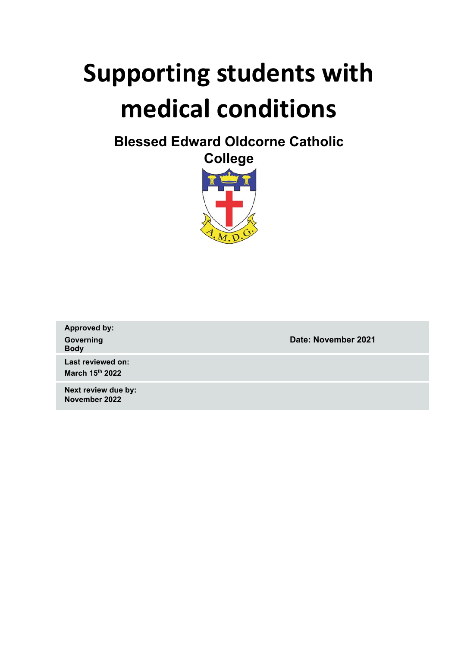# **Supporting students with medical conditions**

**Blessed Edward Oldcorne Catholic**



**Approved by: Body**

**Governing Date: November 2021**

**Last reviewed on: March 15 th 2022**

**Next review due by: November 2022**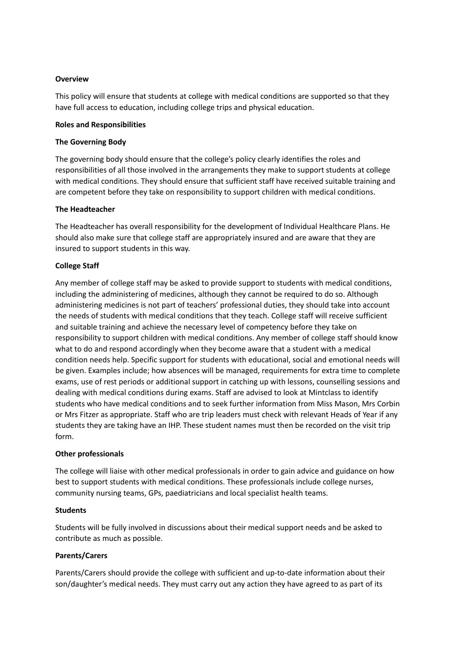#### **Overview**

This policy will ensure that students at college with medical conditions are supported so that they have full access to education, including college trips and physical education.

#### **Roles and Responsibilities**

#### **The Governing Body**

The governing body should ensure that the college's policy clearly identifies the roles and responsibilities of all those involved in the arrangements they make to support students at college with medical conditions. They should ensure that sufficient staff have received suitable training and are competent before they take on responsibility to support children with medical conditions.

#### **The Headteacher**

The Headteacher has overall responsibility for the development of Individual Healthcare Plans. He should also make sure that college staff are appropriately insured and are aware that they are insured to support students in this way.

#### **College Staff**

Any member of college staff may be asked to provide support to students with medical conditions, including the administering of medicines, although they cannot be required to do so. Although administering medicines is not part of teachers' professional duties, they should take into account the needs of students with medical conditions that they teach. College staff will receive sufficient and suitable training and achieve the necessary level of competency before they take on responsibility to support children with medical conditions. Any member of college staff should know what to do and respond accordingly when they become aware that a student with a medical condition needs help. Specific support for students with educational, social and emotional needs will be given. Examples include; how absences will be managed, requirements for extra time to complete exams, use of rest periods or additional support in catching up with lessons, counselling sessions and dealing with medical conditions during exams. Staff are advised to look at Mintclass to identify students who have medical conditions and to seek further information from Miss Mason, Mrs Corbin or Mrs Fitzer as appropriate. Staff who are trip leaders must check with relevant Heads of Year if any students they are taking have an IHP. These student names must then be recorded on the visit trip form.

#### **Other professionals**

The college will liaise with other medical professionals in order to gain advice and guidance on how best to support students with medical conditions. These professionals include college nurses, community nursing teams, GPs, paediatricians and local specialist health teams.

#### **Students**

Students will be fully involved in discussions about their medical support needs and be asked to contribute as much as possible.

#### **Parents/Carers**

Parents/Carers should provide the college with sufficient and up-to-date information about their son/daughter's medical needs. They must carry out any action they have agreed to as part of its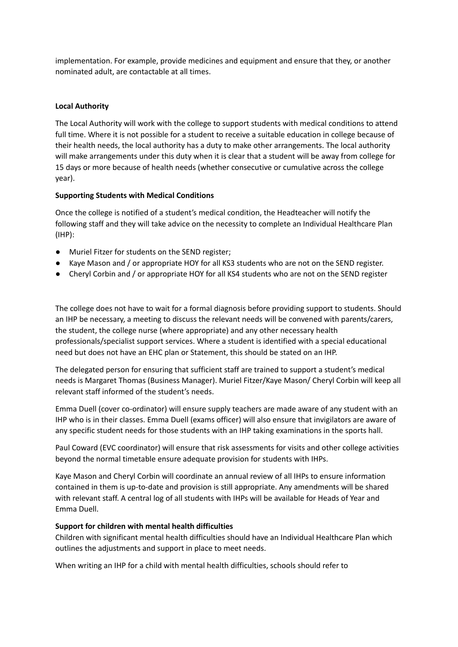implementation. For example, provide medicines and equipment and ensure that they, or another nominated adult, are contactable at all times.

#### **Local Authority**

The Local Authority will work with the college to support students with medical conditions to attend full time. Where it is not possible for a student to receive a suitable education in college because of their health needs, the local authority has a duty to make other arrangements. The local authority will make arrangements under this duty when it is clear that a student will be away from college for 15 days or more because of health needs (whether consecutive or cumulative across the college year).

#### **Supporting Students with Medical Conditions**

Once the college is notified of a student's medical condition, the Headteacher will notify the following staff and they will take advice on the necessity to complete an Individual Healthcare Plan (IHP):

- Muriel Fitzer for students on the SEND register;
- Kaye Mason and / or appropriate HOY for all KS3 students who are not on the SEND register.
- Cheryl Corbin and / or appropriate HOY for all KS4 students who are not on the SEND register

The college does not have to wait for a formal diagnosis before providing support to students. Should an IHP be necessary, a meeting to discuss the relevant needs will be convened with parents/carers, the student, the college nurse (where appropriate) and any other necessary health professionals/specialist support services. Where a student is identified with a special educational need but does not have an EHC plan or Statement, this should be stated on an IHP.

The delegated person for ensuring that sufficient staff are trained to support a student's medical needs is Margaret Thomas (Business Manager). Muriel Fitzer/Kaye Mason/ Cheryl Corbin will keep all relevant staff informed of the student's needs.

Emma Duell (cover co-ordinator) will ensure supply teachers are made aware of any student with an IHP who is in their classes. Emma Duell (exams officer) will also ensure that invigilators are aware of any specific student needs for those students with an IHP taking examinations in the sports hall.

Paul Coward (EVC coordinator) will ensure that risk assessments for visits and other college activities beyond the normal timetable ensure adequate provision for students with IHPs.

Kaye Mason and Cheryl Corbin will coordinate an annual review of all IHPs to ensure information contained in them is up-to-date and provision is still appropriate. Any amendments will be shared with relevant staff. A central log of all students with IHPs will be available for Heads of Year and Emma Duell.

#### **Support for children with mental health difficulties**

Children with significant mental health difficulties should have an Individual Healthcare Plan which outlines the adjustments and support in place to meet needs.

When writing an IHP for a child with mental health difficulties, schools should refer to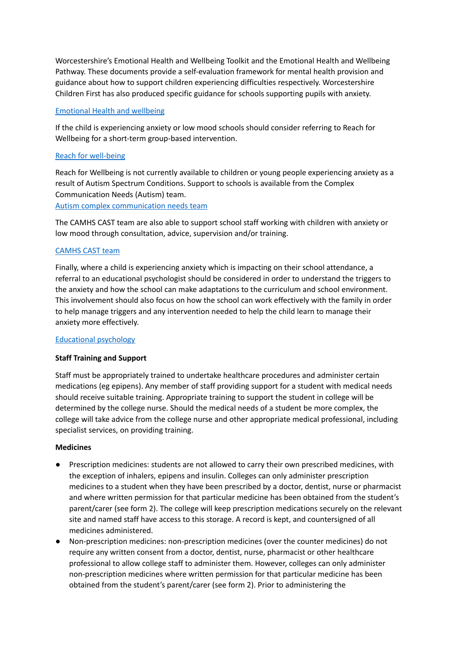Worcestershire's Emotional Health and Wellbeing Toolkit and the Emotional Health and Wellbeing Pathway. These documents provide a self-evaluation framework for mental health provision and guidance about how to support children experiencing difficulties respectively. Worcestershire Children First has also produced specific guidance for schools supporting pupils with anxiety.

#### [Emotional](https://www.worcestershire.gov.uk/WCFEducationServices/info/12/emotional-health-wellbeing/84/links-publications/3) Health and wellbeing

If the child is experiencing anxiety or low mood schools should consider referring to Reach for Wellbeing for a short-term group-based intervention.

#### Reach for [well-being](https://www.hacw.nhs.uk/reach4wellbeing/)

Reach for Wellbeing is not currently available to children or young people experiencing anxiety as a result of Autism Spectrum Conditions. Support to schools is available from the Complex Communication Needs (Autism) team.

Autism complex [communication](https://www.worcestershire.gov.uk/WCFEducationServices/info/38/autism-complex-communication-needs-ccn-1) needs team

The CAMHS CAST team are also able to support school staff working with children with anxiety or low mood through consultation, advice, supervision and/or training.

#### [CAMHS](https://www.hacw.nhs.uk/cast) CAST team

Finally, where a child is experiencing anxiety which is impacting on their school attendance, a referral to an educational psychologist should be considered in order to understand the triggers to the anxiety and how the school can make adaptations to the curriculum and school environment. This involvement should also focus on how the school can work effectively with the family in order to help manage triggers and any intervention needed to help the child learn to manage their anxiety more effectively.

#### [Educational](https://www.worcestershire.gov.uk/WCFEducationServices/info/1/support-services/4/educational-psychology) psychology

#### **Staff Training and Support**

Staff must be appropriately trained to undertake healthcare procedures and administer certain medications (eg epipens). Any member of staff providing support for a student with medical needs should receive suitable training. Appropriate training to support the student in college will be determined by the college nurse. Should the medical needs of a student be more complex, the college will take advice from the college nurse and other appropriate medical professional, including specialist services, on providing training.

#### **Medicines**

- Prescription medicines: students are not allowed to carry their own prescribed medicines, with the exception of inhalers, epipens and insulin. Colleges can only administer prescription medicines to a student when they have been prescribed by a doctor, dentist, nurse or pharmacist and where written permission for that particular medicine has been obtained from the student's parent/carer (see form 2). The college will keep prescription medications securely on the relevant site and named staff have access to this storage. A record is kept, and countersigned of all medicines administered.
- Non-prescription medicines: non-prescription medicines (over the counter medicines) do not require any written consent from a doctor, dentist, nurse, pharmacist or other healthcare professional to allow college staff to administer them. However, colleges can only administer non-prescription medicines where written permission for that particular medicine has been obtained from the student's parent/carer (see form 2). Prior to administering the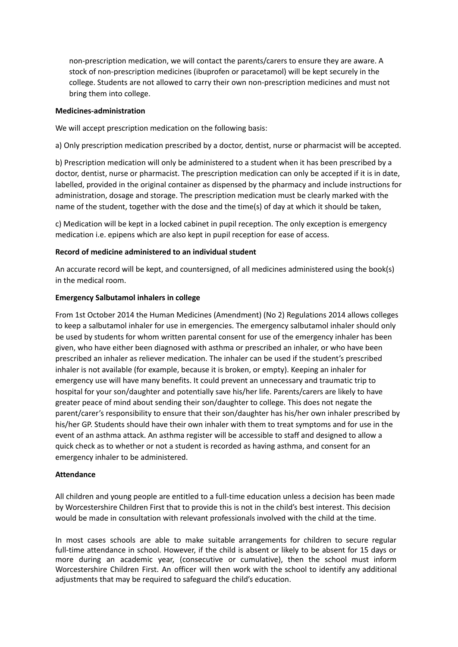non-prescription medication, we will contact the parents/carers to ensure they are aware. A stock of non-prescription medicines (ibuprofen or paracetamol) will be kept securely in the college. Students are not allowed to carry their own non-prescription medicines and must not bring them into college.

#### **Medicines-administration**

We will accept prescription medication on the following basis:

a) Only prescription medication prescribed by a doctor, dentist, nurse or pharmacist will be accepted.

b) Prescription medication will only be administered to a student when it has been prescribed by a doctor, dentist, nurse or pharmacist. The prescription medication can only be accepted if it is in date, labelled, provided in the original container as dispensed by the pharmacy and include instructions for administration, dosage and storage. The prescription medication must be clearly marked with the name of the student, together with the dose and the time(s) of day at which it should be taken,

c) Medication will be kept in a locked cabinet in pupil reception. The only exception is emergency medication i.e. epipens which are also kept in pupil reception for ease of access.

#### **Record of medicine administered to an individual student**

An accurate record will be kept, and countersigned, of all medicines administered using the book(s) in the medical room.

#### **Emergency Salbutamol inhalers in college**

From 1st October 2014 the Human Medicines (Amendment) (No 2) Regulations 2014 allows colleges to keep a salbutamol inhaler for use in emergencies. The emergency salbutamol inhaler should only be used by students for whom written parental consent for use of the emergency inhaler has been given, who have either been diagnosed with asthma or prescribed an inhaler, or who have been prescribed an inhaler as reliever medication. The inhaler can be used if the student's prescribed inhaler is not available (for example, because it is broken, or empty). Keeping an inhaler for emergency use will have many benefits. It could prevent an unnecessary and traumatic trip to hospital for your son/daughter and potentially save his/her life. Parents/carers are likely to have greater peace of mind about sending their son/daughter to college. This does not negate the parent/carer's responsibility to ensure that their son/daughter has his/her own inhaler prescribed by his/her GP. Students should have their own inhaler with them to treat symptoms and for use in the event of an asthma attack. An asthma register will be accessible to staff and designed to allow a quick check as to whether or not a student is recorded as having asthma, and consent for an emergency inhaler to be administered.

#### **Attendance**

All children and young people are entitled to a full-time education unless a decision has been made by Worcestershire Children First that to provide this is not in the child's best interest. This decision would be made in consultation with relevant professionals involved with the child at the time.

In most cases schools are able to make suitable arrangements for children to secure regular full-time attendance in school. However, if the child is absent or likely to be absent for 15 days or more during an academic year, (consecutive or cumulative), then the school must inform Worcestershire Children First. An officer will then work with the school to identify any additional adjustments that may be required to safeguard the child's education.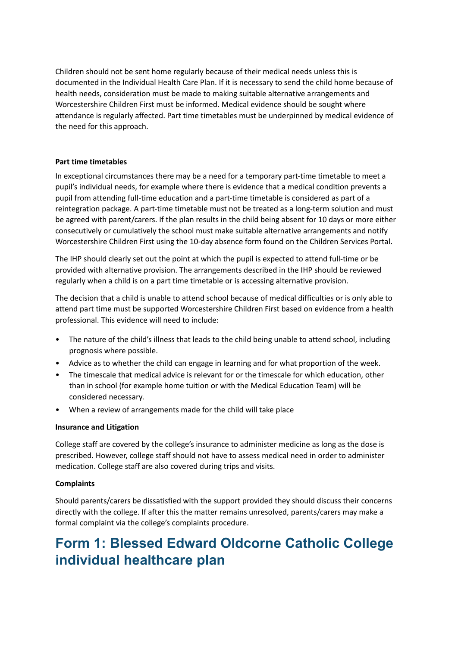Children should not be sent home regularly because of their medical needs unless this is documented in the Individual Health Care Plan. If it is necessary to send the child home because of health needs, consideration must be made to making suitable alternative arrangements and Worcestershire Children First must be informed. Medical evidence should be sought where attendance is regularly affected. Part time timetables must be underpinned by medical evidence of the need for this approach.

#### **Part time timetables**

In exceptional circumstances there may be a need for a temporary part-time timetable to meet a pupil's individual needs, for example where there is evidence that a medical condition prevents a pupil from attending full-time education and a part-time timetable is considered as part of a reintegration package. A part-time timetable must not be treated as a long-term solution and must be agreed with parent/carers. If the plan results in the child being absent for 10 days or more either consecutively or cumulatively the school must make suitable alternative arrangements and notify Worcestershire Children First using the 10-day absence form found on the Children Services Portal.

The IHP should clearly set out the point at which the pupil is expected to attend full-time or be provided with alternative provision. The arrangements described in the IHP should be reviewed regularly when a child is on a part time timetable or is accessing alternative provision.

The decision that a child is unable to attend school because of medical difficulties or is only able to attend part time must be supported Worcestershire Children First based on evidence from a health professional. This evidence will need to include:

- The nature of the child's illness that leads to the child being unable to attend school, including prognosis where possible.
- Advice as to whether the child can engage in learning and for what proportion of the week.
- The timescale that medical advice is relevant for or the timescale for which education, other than in school (for example home tuition or with the Medical Education Team) will be considered necessary.
- When a review of arrangements made for the child will take place

#### **Insurance and Litigation**

College staff are covered by the college's insurance to administer medicine as long as the dose is prescribed. However, college staff should not have to assess medical need in order to administer medication. College staff are also covered during trips and visits.

#### **Complaints**

Should parents/carers be dissatisfied with the support provided they should discuss their concerns directly with the college. If after this the matter remains unresolved, parents/carers may make a formal complaint via the college's complaints procedure.

## **Form 1: Blessed Edward Oldcorne Catholic College individual healthcare plan**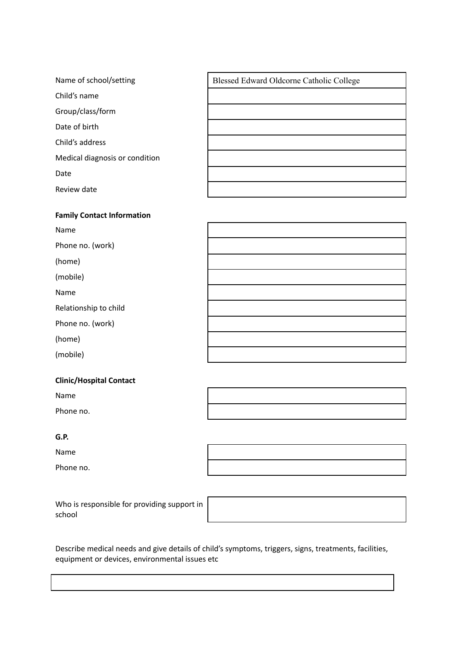| Name of school/setting         | Blessed Edward Oldcorne Catholic College |
|--------------------------------|------------------------------------------|
| Child's name                   |                                          |
| Group/class/form               |                                          |
| Date of birth                  |                                          |
| Child's address                |                                          |
| Medical diagnosis or condition |                                          |
| Date                           |                                          |
| Review date                    |                                          |

#### **Clinic/Hospital Contact**

Name

Phone no.

#### **G.P.**

Name

Phone no.

Who is responsible for providing support in school

Describe medical needs and give details of child's symptoms, triggers, signs, treatments, facilities,

equipment or devices, environmental issues etc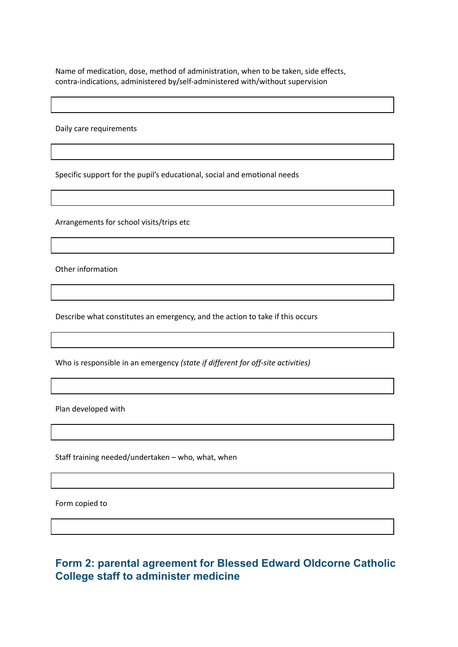Name of medication, dose, method of administration, when to be taken, side effects, contra-indications, administered by/self-administered with/without supervision

Daily care requirements

Specific support for the pupil's educational, social and emotional needs

Arrangements for school visits/trips etc

Other information

Describe what constitutes an emergency, and the action to take if this occurs

Who is responsible in an emergency *(state if different for off-site activities)*

Plan developed with

Staff training needed/undertaken – who, what, when

Form copied to

### **Form 2: parental agreement for Blessed Edward Oldcorne Catholic College staff to administer medicine**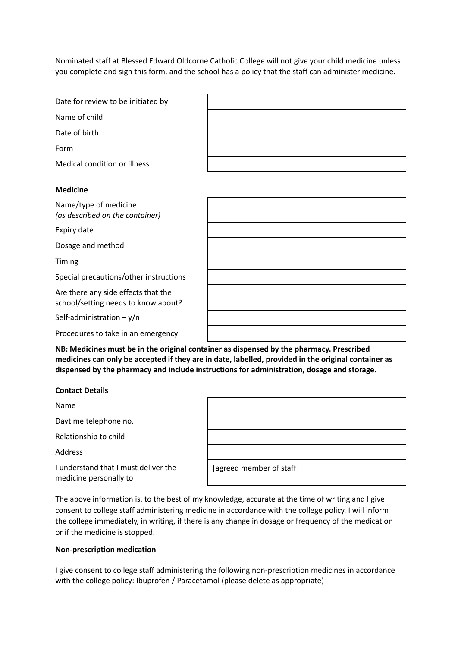Nominated staff at Blessed Edward Oldcorne Catholic College will not give your child medicine unless you complete and sign this form, and the school has a policy that the staff can administer medicine.

| Date for review to be initiated by |  |
|------------------------------------|--|
| Name of child                      |  |
| Date of birth                      |  |
| Form                               |  |
| Medical condition or illness       |  |
| <b>Medicine</b>                    |  |
|                                    |  |

| Name/type of medicine           |
|---------------------------------|
| (as described on the container) |

Expiry date

Dosage and method

Timing

Special precautions/other instructions

Are there any side effects that the school/setting needs to know about?

Self-administration – y/n

Procedures to take in an emergency

**NB: Medicines must be in the original container as dispensed by the pharmacy. Prescribed medicines can only be accepted if they are in date, labelled, provided in the original container as dispensed by the pharmacy and include instructions for administration, dosage and storage.**

#### **Contact Details**

Name

Daytime telephone no.

Relationship to child

Address

I understand that I must deliver the medicine personally to

| [agreed member of staff] |  |
|--------------------------|--|

The above information is, to the best of my knowledge, accurate at the time of writing and I give consent to college staff administering medicine in accordance with the college policy. I will inform the college immediately, in writing, if there is any change in dosage or frequency of the medication or if the medicine is stopped.

#### **Non-prescription medication**

I give consent to college staff administering the following non-prescription medicines in accordance with the college policy: Ibuprofen / Paracetamol (please delete as appropriate)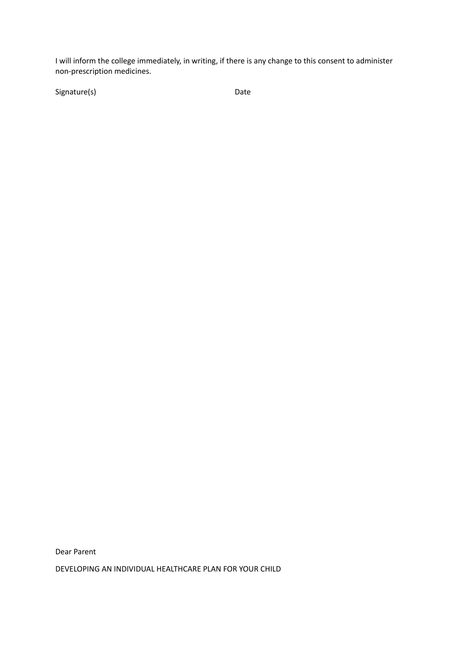I will inform the college immediately, in writing, if there is any change to this consent to administer non-prescription medicines.

Signature(s) Date

Dear Parent

DEVELOPING AN INDIVIDUAL HEALTHCARE PLAN FOR YOUR CHILD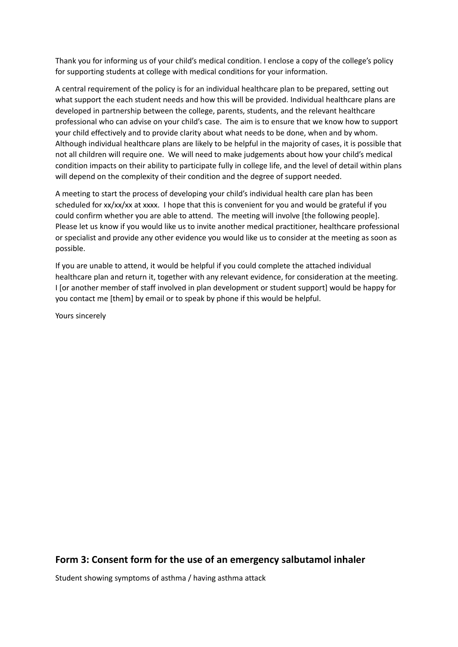Thank you for informing us of your child's medical condition. I enclose a copy of the college's policy for supporting students at college with medical conditions for your information.

A central requirement of the policy is for an individual healthcare plan to be prepared, setting out what support the each student needs and how this will be provided. Individual healthcare plans are developed in partnership between the college, parents, students, and the relevant healthcare professional who can advise on your child's case. The aim is to ensure that we know how to support your child effectively and to provide clarity about what needs to be done, when and by whom. Although individual healthcare plans are likely to be helpful in the majority of cases, it is possible that not all children will require one. We will need to make judgements about how your child's medical condition impacts on their ability to participate fully in college life, and the level of detail within plans will depend on the complexity of their condition and the degree of support needed.

A meeting to start the process of developing your child's individual health care plan has been scheduled for xx/xx/xx at xxxx. I hope that this is convenient for you and would be grateful if you could confirm whether you are able to attend. The meeting will involve [the following people]. Please let us know if you would like us to invite another medical practitioner, healthcare professional or specialist and provide any other evidence you would like us to consider at the meeting as soon as possible.

If you are unable to attend, it would be helpful if you could complete the attached individual healthcare plan and return it, together with any relevant evidence, for consideration at the meeting. I [or another member of staff involved in plan development or student support] would be happy for you contact me [them] by email or to speak by phone if this would be helpful.

Yours sincerely

#### **Form 3: Consent form for the use of an emergency salbutamol inhaler**

Student showing symptoms of asthma / having asthma attack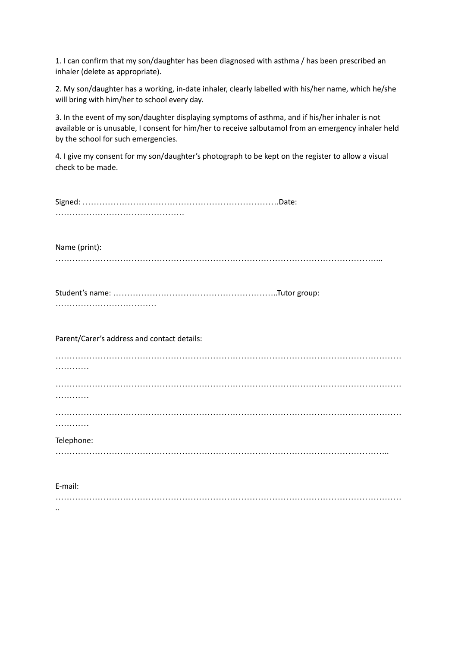1. I can confirm that my son/daughter has been diagnosed with asthma / has been prescribed an inhaler (delete as appropriate).

2. My son/daughter has a working, in-date inhaler, clearly labelled with his/her name, which he/she will bring with him/her to school every day.

3. In the event of my son/daughter displaying symptoms of asthma, and if his/her inhaler is not available or is unusable, I consent for him/her to receive salbutamol from an emergency inhaler held by the school for such emergencies.

4. I give my consent for my son/daughter's photograph to be kept on the register to allow a visual check to be made.

| Name (print):                               |
|---------------------------------------------|
|                                             |
| Parent/Carer's address and contact details: |
|                                             |
|                                             |
|                                             |
| Telephone:                                  |
| E-mail:                                     |

……………………………………………………………………………………………………………

..